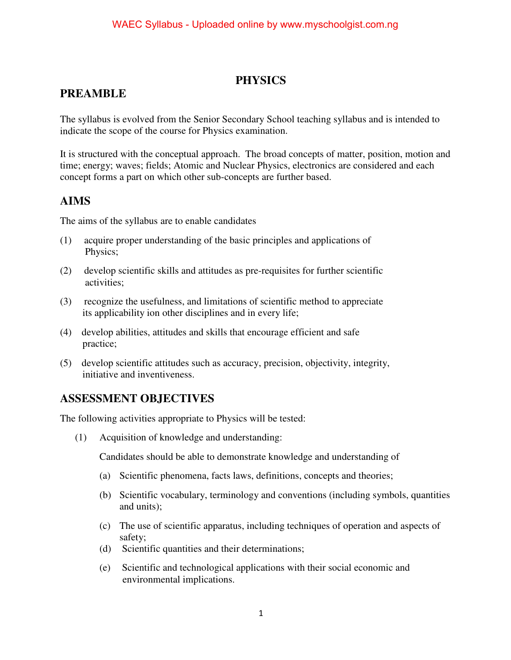#### **PHYSICS**

### **PREAMBLE**

The syllabus is evolved from the Senior Secondary School teaching syllabus and is intended to indicate the scope of the course for Physics examination.

It is structured with the conceptual approach. The broad concepts of matter, position, motion and time; energy; waves; fields; Atomic and Nuclear Physics, electronics are considered and each concept forms a part on which other sub-concepts are further based.

#### **AIMS**

The aims of the syllabus are to enable candidates

- (1) acquire proper understanding of the basic principles and applications of Physics;
- (2) develop scientific skills and attitudes as pre-requisites for further scientific activities;
- (3) recognize the usefulness, and limitations of scientific method to appreciate its applicability ion other disciplines and in every life;
- (4) develop abilities, attitudes and skills that encourage efficient and safe practice;
- (5) develop scientific attitudes such as accuracy, precision, objectivity, integrity, initiative and inventiveness.

### **ASSESSMENT OBJECTIVES**

The following activities appropriate to Physics will be tested:

(1) Acquisition of knowledge and understanding:

Candidates should be able to demonstrate knowledge and understanding of

- (a) Scientific phenomena, facts laws, definitions, concepts and theories;
- (b) Scientific vocabulary, terminology and conventions (including symbols, quantities and units);
- (c) The use of scientific apparatus, including techniques of operation and aspects of safety;
- (d) Scientific quantities and their determinations;
- (e) Scientific and technological applications with their social economic and environmental implications.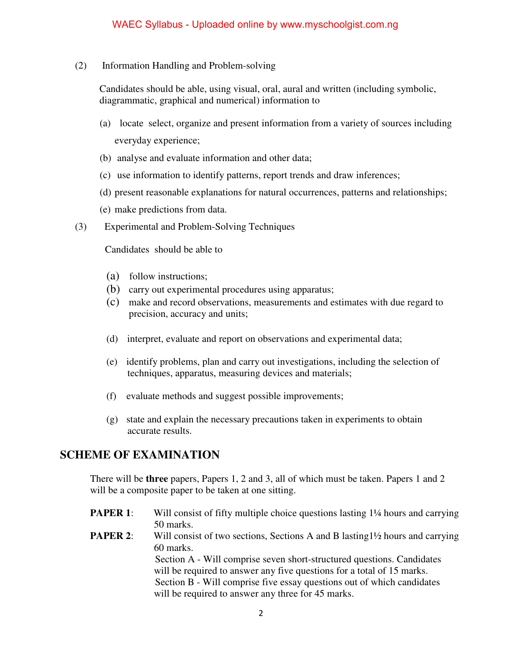(2) Information Handling and Problem-solving

Candidates should be able, using visual, oral, aural and written (including symbolic, diagrammatic, graphical and numerical) information to

- (a) locate select, organize and present information from a variety of sources including everyday experience;
- (b) analyse and evaluate information and other data;
- (c) use information to identify patterns, report trends and draw inferences;
- (d) present reasonable explanations for natural occurrences, patterns and relationships;
- (e) make predictions from data.
- (3) Experimental and Problem-Solving Techniques

Candidates should be able to

- (a) follow instructions;
- (b) carry out experimental procedures using apparatus;
- (c) make and record observations, measurements and estimates with due regard to precision, accuracy and units;
- (d) interpret, evaluate and report on observations and experimental data;
- (e) identify problems, plan and carry out investigations, including the selection of techniques, apparatus, measuring devices and materials;
- (f) evaluate methods and suggest possible improvements;
- (g) state and explain the necessary precautions taken in experiments to obtain accurate results.

#### **SCHEME OF EXAMINATION**

There will be **three** papers, Papers 1, 2 and 3, all of which must be taken. Papers 1 and 2 will be a composite paper to be taken at one sitting.

- **PAPER 1:** Will consist of fifty multiple choice questions lasting 1<sup>1</sup>/4 hours and carrying 50 marks.
- **PAPER 2:** Will consist of two sections, Sections A and B lasting1½ hours and carrying 60 marks.

 Section A - Will comprise seven short-structured questions. Candidates will be required to answer any five questions for a total of 15 marks. Section B - Will comprise five essay questions out of which candidates will be required to answer any three for 45 marks.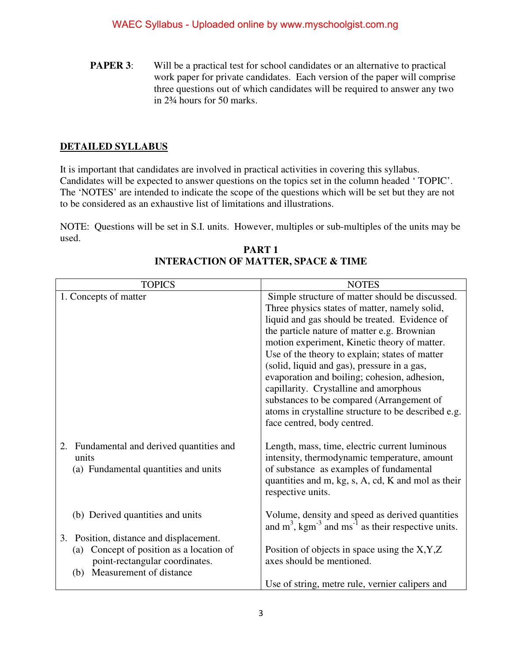**PAPER 3:** Will be a practical test for school candidates or an alternative to practical work paper for private candidates. Each version of the paper will comprise three questions out of which candidates will be required to answer any two in 2¾ hours for 50 marks.

#### **DETAILED SYLLABUS**

It is important that candidates are involved in practical activities in covering this syllabus. Candidates will be expected to answer questions on the topics set in the column headed ' TOPIC'. The 'NOTES' are intended to indicate the scope of the questions which will be set but they are not to be considered as an exhaustive list of limitations and illustrations.

NOTE: Questions will be set in S.I. units. However, multiples or sub-multiples of the units may be used.

| <b>TOPICS</b>                                                                              | <b>NOTES</b>                                                                                                                                                                                                        |
|--------------------------------------------------------------------------------------------|---------------------------------------------------------------------------------------------------------------------------------------------------------------------------------------------------------------------|
| 1. Concepts of matter                                                                      | Simple structure of matter should be discussed.                                                                                                                                                                     |
|                                                                                            | Three physics states of matter, namely solid,                                                                                                                                                                       |
|                                                                                            | liquid and gas should be treated. Evidence of                                                                                                                                                                       |
|                                                                                            | the particle nature of matter e.g. Brownian                                                                                                                                                                         |
|                                                                                            | motion experiment, Kinetic theory of matter.                                                                                                                                                                        |
|                                                                                            | Use of the theory to explain; states of matter                                                                                                                                                                      |
|                                                                                            | (solid, liquid and gas), pressure in a gas,                                                                                                                                                                         |
|                                                                                            | evaporation and boiling; cohesion, adhesion,                                                                                                                                                                        |
|                                                                                            | capillarity. Crystalline and amorphous                                                                                                                                                                              |
|                                                                                            | substances to be compared (Arrangement of                                                                                                                                                                           |
|                                                                                            | atoms in crystalline structure to be described e.g.                                                                                                                                                                 |
|                                                                                            | face centred, body centred.                                                                                                                                                                                         |
| 2. Fundamental and derived quantities and<br>units<br>(a) Fundamental quantities and units | Length, mass, time, electric current luminous<br>intensity, thermodynamic temperature, amount<br>of substance as examples of fundamental<br>quantities and m, kg, s, A, cd, K and mol as their<br>respective units. |
| (b) Derived quantities and units                                                           | Volume, density and speed as derived quantities<br>and $m^3$ , kgm <sup>-3</sup> and ms <sup>-1</sup> as their respective units.                                                                                    |
| 3. Position, distance and displacement.                                                    |                                                                                                                                                                                                                     |
| Concept of position as a location of<br>(a)<br>point-rectangular coordinates.              | Position of objects in space using the $X, Y, Z$<br>axes should be mentioned.                                                                                                                                       |
| Measurement of distance<br>(b)                                                             |                                                                                                                                                                                                                     |
|                                                                                            | Use of string, metre rule, vernier calipers and                                                                                                                                                                     |

**PART 1 INTERACTION OF MATTER, SPACE & TIME**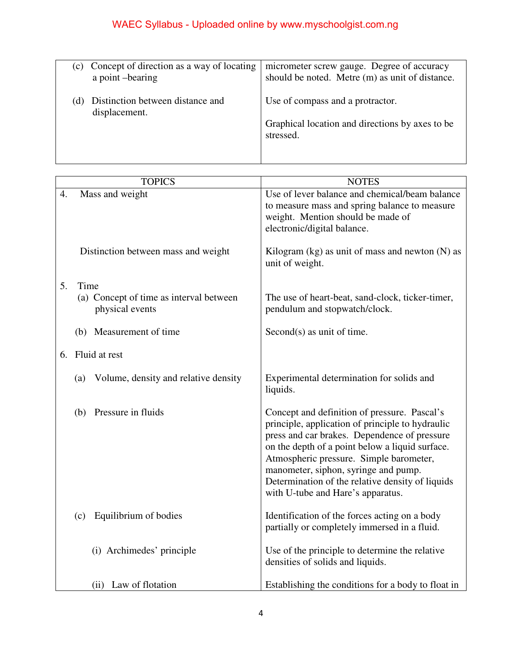| (c) | Concept of direction as a way of locating         | micrometer screw gauge. Degree of accuracy                   |
|-----|---------------------------------------------------|--------------------------------------------------------------|
|     | a point -bearing                                  | should be noted. Metre (m) as unit of distance.              |
|     | Distinction between distance and<br>displacement. | Use of compass and a protractor.                             |
|     |                                                   | Graphical location and directions by axes to be<br>stressed. |
|     |                                                   |                                                              |

| <b>TOPICS</b>                                              | <b>NOTES</b>                                                                                                                                                                                                                                                                                                                                                                    |
|------------------------------------------------------------|---------------------------------------------------------------------------------------------------------------------------------------------------------------------------------------------------------------------------------------------------------------------------------------------------------------------------------------------------------------------------------|
| Mass and weight<br>4.                                      | Use of lever balance and chemical/beam balance<br>to measure mass and spring balance to measure<br>weight. Mention should be made of<br>electronic/digital balance.                                                                                                                                                                                                             |
| Distinction between mass and weight                        | Kilogram $(kg)$ as unit of mass and newton $(N)$ as<br>unit of weight.                                                                                                                                                                                                                                                                                                          |
| 5 <sub>1</sub><br>Time                                     |                                                                                                                                                                                                                                                                                                                                                                                 |
| (a) Concept of time as interval between<br>physical events | The use of heart-beat, sand-clock, ticker-timer,<br>pendulum and stopwatch/clock.                                                                                                                                                                                                                                                                                               |
| (b) Measurement of time                                    | Second(s) as unit of time.                                                                                                                                                                                                                                                                                                                                                      |
| 6. Fluid at rest                                           |                                                                                                                                                                                                                                                                                                                                                                                 |
| (a) Volume, density and relative density                   | Experimental determination for solids and<br>liquids.                                                                                                                                                                                                                                                                                                                           |
| Pressure in fluids<br>(b)                                  | Concept and definition of pressure. Pascal's<br>principle, application of principle to hydraulic<br>press and car brakes. Dependence of pressure<br>on the depth of a point below a liquid surface.<br>Atmospheric pressure. Simple barometer,<br>manometer, siphon, syringe and pump.<br>Determination of the relative density of liquids<br>with U-tube and Hare's apparatus. |
| Equilibrium of bodies<br>(c)                               | Identification of the forces acting on a body<br>partially or completely immersed in a fluid.                                                                                                                                                                                                                                                                                   |
| (i) Archimedes' principle                                  | Use of the principle to determine the relative<br>densities of solids and liquids.                                                                                                                                                                                                                                                                                              |
| (ii) Law of flotation                                      | Establishing the conditions for a body to float in                                                                                                                                                                                                                                                                                                                              |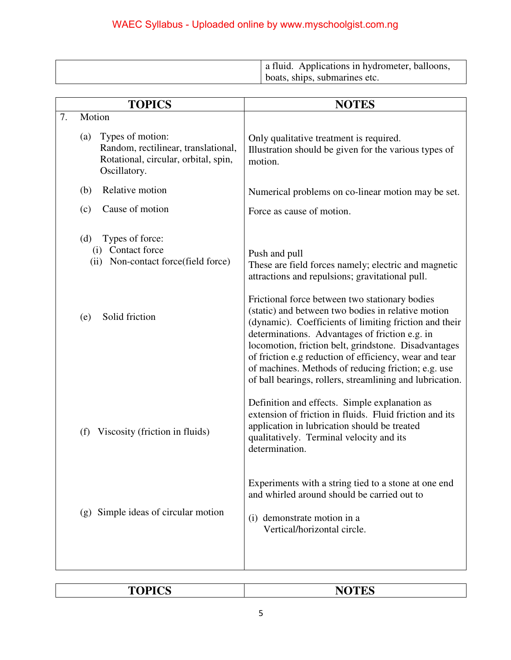| a fluid. Applications in hydrometer, balloons, |
|------------------------------------------------|
| boats, ships, submarines etc.                  |

|    | <b>TOPICS</b>                                                                                                          | <b>NOTES</b>                                                                                                                                                                                                                                                                                                                                                                                                                                          |
|----|------------------------------------------------------------------------------------------------------------------------|-------------------------------------------------------------------------------------------------------------------------------------------------------------------------------------------------------------------------------------------------------------------------------------------------------------------------------------------------------------------------------------------------------------------------------------------------------|
| 7. | Motion                                                                                                                 |                                                                                                                                                                                                                                                                                                                                                                                                                                                       |
|    | Types of motion:<br>(a)<br>Random, rectilinear, translational,<br>Rotational, circular, orbital, spin,<br>Oscillatory. | Only qualitative treatment is required.<br>Illustration should be given for the various types of<br>motion.                                                                                                                                                                                                                                                                                                                                           |
|    | Relative motion<br>(b)                                                                                                 | Numerical problems on co-linear motion may be set.                                                                                                                                                                                                                                                                                                                                                                                                    |
|    | Cause of motion<br>(c)                                                                                                 | Force as cause of motion.                                                                                                                                                                                                                                                                                                                                                                                                                             |
|    | Types of force:<br>(d)<br>(i) Contact force<br>(ii) Non-contact force(field force)                                     | Push and pull<br>These are field forces namely; electric and magnetic<br>attractions and repulsions; gravitational pull.                                                                                                                                                                                                                                                                                                                              |
|    | Solid friction<br>(e)                                                                                                  | Frictional force between two stationary bodies<br>(static) and between two bodies in relative motion<br>(dynamic). Coefficients of limiting friction and their<br>determinations. Advantages of friction e.g. in<br>locomotion, friction belt, grindstone. Disadvantages<br>of friction e.g reduction of efficiency, wear and tear<br>of machines. Methods of reducing friction; e.g. use<br>of ball bearings, rollers, streamlining and lubrication. |
|    | Viscosity (friction in fluids)<br>(f)                                                                                  | Definition and effects. Simple explanation as<br>extension of friction in fluids. Fluid friction and its<br>application in lubrication should be treated<br>qualitatively. Terminal velocity and its<br>determination.                                                                                                                                                                                                                                |
|    | (g) Simple ideas of circular motion                                                                                    | Experiments with a string tied to a stone at one end<br>and whirled around should be carried out to<br>(i) demonstrate motion in a<br>Vertical/horizontal circle.                                                                                                                                                                                                                                                                                     |

| $T^{\alpha}$<br>. .<br>-<br>- - - -<br>$ -$ | $- - -$ |
|---------------------------------------------|---------|
|                                             |         |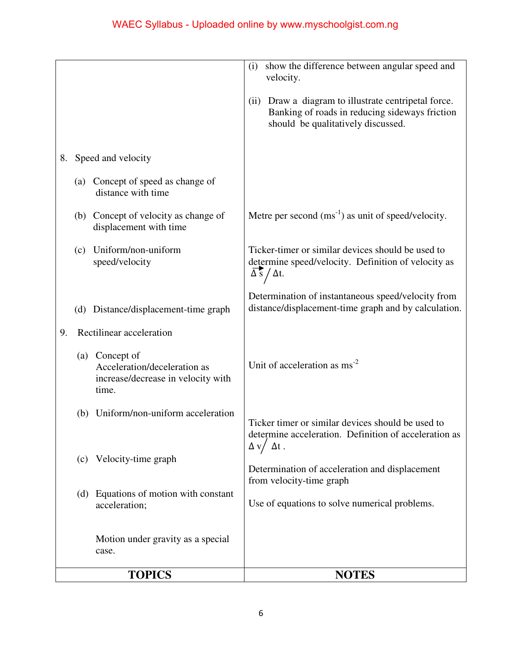|                                                                                               | show the difference between angular speed and<br>(i)<br>velocity.                                                                               |
|-----------------------------------------------------------------------------------------------|-------------------------------------------------------------------------------------------------------------------------------------------------|
|                                                                                               | Draw a diagram to illustrate centripetal force.<br>(ii)<br>Banking of roads in reducing sideways friction<br>should be qualitatively discussed. |
| Speed and velocity<br>8.                                                                      |                                                                                                                                                 |
| (a) Concept of speed as change of<br>distance with time                                       |                                                                                                                                                 |
| (b) Concept of velocity as change of<br>displacement with time                                | Metre per second $(ms^{-1})$ as unit of speed/velocity.                                                                                         |
| Uniform/non-uniform<br>(c)<br>speed/velocity                                                  | Ticker-timer or similar devices should be used to<br>determine speed/velocity. Definition of velocity as<br>$\overline{\Delta s}/\Delta t$ .    |
| (d) Distance/displacement-time graph                                                          | Determination of instantaneous speed/velocity from<br>distance/displacement-time graph and by calculation.                                      |
| Rectilinear acceleration<br>9.                                                                |                                                                                                                                                 |
| (a) Concept of<br>Acceleration/deceleration as<br>increase/decrease in velocity with<br>time. | Unit of acceleration as $\text{ms}^2$                                                                                                           |
| Uniform/non-uniform acceleration<br>(b)                                                       | Ticker timer or similar devices should be used to<br>determine acceleration. Definition of acceleration as<br>$\Delta v / \Delta t$ .           |
| (c) Velocity-time graph                                                                       | Determination of acceleration and displacement<br>from velocity-time graph                                                                      |
| (d) Equations of motion with constant<br>acceleration;                                        | Use of equations to solve numerical problems.                                                                                                   |
| Motion under gravity as a special<br>case.                                                    |                                                                                                                                                 |
| <b>TOPICS</b>                                                                                 | <b>NOTES</b>                                                                                                                                    |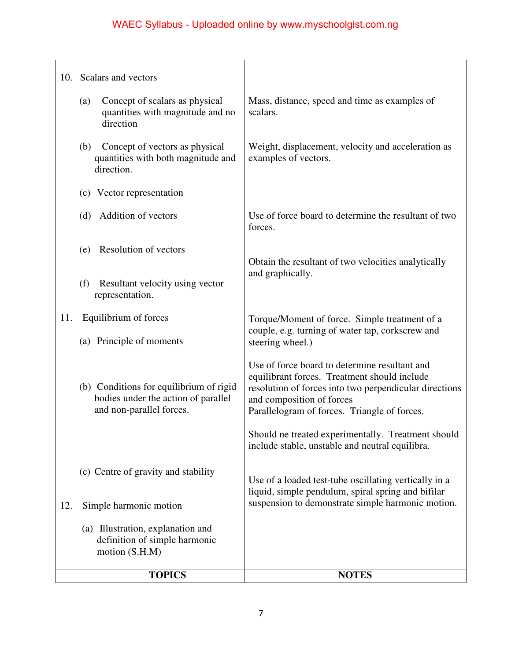|     | 10. Scalars and vectors                                                                                    |                                                                                                                                                                                                                                      |
|-----|------------------------------------------------------------------------------------------------------------|--------------------------------------------------------------------------------------------------------------------------------------------------------------------------------------------------------------------------------------|
|     | Concept of scalars as physical<br>(a)<br>quantities with magnitude and no<br>direction                     | Mass, distance, speed and time as examples of<br>scalars.                                                                                                                                                                            |
|     | Concept of vectors as physical<br>(b)<br>quantities with both magnitude and<br>direction.                  | Weight, displacement, velocity and acceleration as<br>examples of vectors.                                                                                                                                                           |
|     | (c) Vector representation                                                                                  |                                                                                                                                                                                                                                      |
|     | Addition of vectors<br>(d)                                                                                 | Use of force board to determine the resultant of two<br>forces.                                                                                                                                                                      |
|     | Resolution of vectors<br>(e)                                                                               | Obtain the resultant of two velocities analytically<br>and graphically.                                                                                                                                                              |
|     | Resultant velocity using vector<br>(f)<br>representation.                                                  |                                                                                                                                                                                                                                      |
| 11. | Equilibrium of forces<br>(a) Principle of moments                                                          | Torque/Moment of force. Simple treatment of a<br>couple, e.g. turning of water tap, corkscrew and<br>steering wheel.)                                                                                                                |
|     | (b) Conditions for equilibrium of rigid<br>bodies under the action of parallel<br>and non-parallel forces. | Use of force board to determine resultant and<br>equilibrant forces. Treatment should include<br>resolution of forces into two perpendicular directions<br>and composition of forces<br>Parallelogram of forces. Triangle of forces. |
|     |                                                                                                            | Should ne treated experimentally. Treatment should<br>include stable, unstable and neutral equilibra.                                                                                                                                |
|     | (c) Centre of gravity and stability                                                                        | Use of a loaded test-tube oscillating vertically in a<br>liquid, simple pendulum, spiral spring and bifilar                                                                                                                          |
| 12. | Simple harmonic motion                                                                                     | suspension to demonstrate simple harmonic motion.                                                                                                                                                                                    |
|     | (a) Illustration, explanation and<br>definition of simple harmonic<br>motion (S.H.M)                       |                                                                                                                                                                                                                                      |
|     | <b>TOPICS</b>                                                                                              | <b>NOTES</b>                                                                                                                                                                                                                         |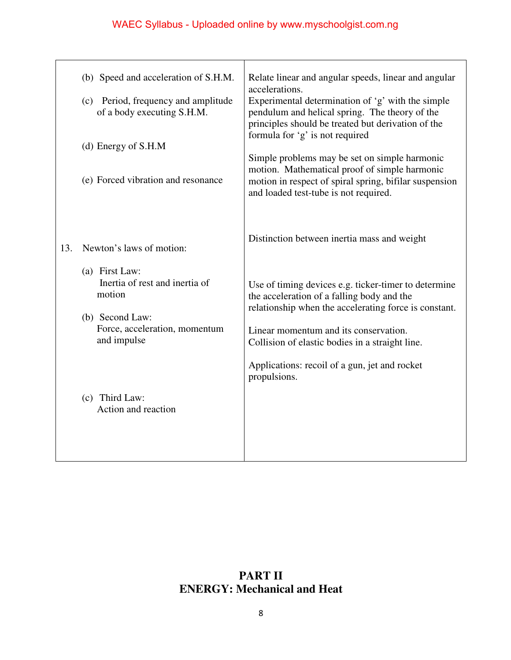|     | (b) Speed and acceleration of S.H.M.<br>(c) Period, frequency and amplitude<br>of a body executing S.H.M.<br>(d) Energy of S.H.M<br>(e) Forced vibration and resonance | Relate linear and angular speeds, linear and angular<br>accelerations.<br>Experimental determination of 'g' with the simple<br>pendulum and helical spring. The theory of the<br>principles should be treated but derivation of the<br>formula for 'g' is not required<br>Simple problems may be set on simple harmonic<br>motion. Mathematical proof of simple harmonic<br>motion in respect of spiral spring, bifilar suspension<br>and loaded test-tube is not required. |
|-----|------------------------------------------------------------------------------------------------------------------------------------------------------------------------|-----------------------------------------------------------------------------------------------------------------------------------------------------------------------------------------------------------------------------------------------------------------------------------------------------------------------------------------------------------------------------------------------------------------------------------------------------------------------------|
| 13. | Newton's laws of motion:                                                                                                                                               | Distinction between inertia mass and weight                                                                                                                                                                                                                                                                                                                                                                                                                                 |
|     | (a) First Law:<br>Inertia of rest and inertia of<br>motion<br>(b) Second Law:<br>Force, acceleration, momentum<br>and impulse                                          | Use of timing devices e.g. ticker-timer to determine<br>the acceleration of a falling body and the<br>relationship when the accelerating force is constant.<br>Linear momentum and its conservation.<br>Collision of elastic bodies in a straight line.<br>Applications: recoil of a gun, jet and rocket                                                                                                                                                                    |
|     | (c) Third Law:<br>Action and reaction                                                                                                                                  | propulsions.                                                                                                                                                                                                                                                                                                                                                                                                                                                                |

### **PART II ENERGY: Mechanical and Heat**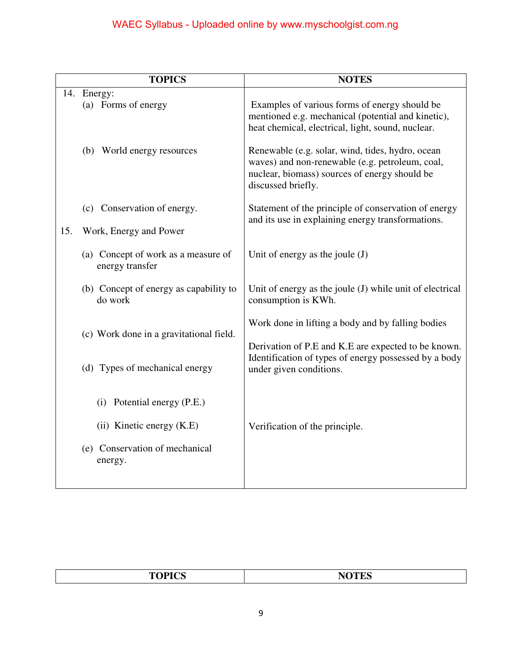|     | <b>TOPICS</b>                                          | <b>NOTES</b>                                                                                                                                                               |
|-----|--------------------------------------------------------|----------------------------------------------------------------------------------------------------------------------------------------------------------------------------|
|     | 14. Energy:<br>(a) Forms of energy                     | Examples of various forms of energy should be<br>mentioned e.g. mechanical (potential and kinetic),<br>heat chemical, electrical, light, sound, nuclear.                   |
|     | (b) World energy resources                             | Renewable (e.g. solar, wind, tides, hydro, ocean<br>waves) and non-renewable (e.g. petroleum, coal,<br>nuclear, biomass) sources of energy should be<br>discussed briefly. |
| 15. | (c) Conservation of energy.<br>Work, Energy and Power  | Statement of the principle of conservation of energy<br>and its use in explaining energy transformations.                                                                  |
|     | (a) Concept of work as a measure of<br>energy transfer | Unit of energy as the joule $(J)$                                                                                                                                          |
|     | (b) Concept of energy as capability to<br>do work      | Unit of energy as the joule (J) while unit of electrical<br>consumption is KWh.                                                                                            |
|     | (c) Work done in a gravitational field.                | Work done in lifting a body and by falling bodies<br>Derivation of P.E and K.E are expected to be known.                                                                   |
|     | (d) Types of mechanical energy                         | Identification of types of energy possessed by a body<br>under given conditions.                                                                                           |
|     | Potential energy (P.E.)<br>(i)                         |                                                                                                                                                                            |
|     | (ii) Kinetic energy (K.E)                              | Verification of the principle.                                                                                                                                             |
|     | (e) Conservation of mechanical<br>energy.              |                                                                                                                                                                            |

| <b>TOPICS</b><br>ำ<br>$\overline{\phantom{a}}$<br>_______ |
|-----------------------------------------------------------|
|-----------------------------------------------------------|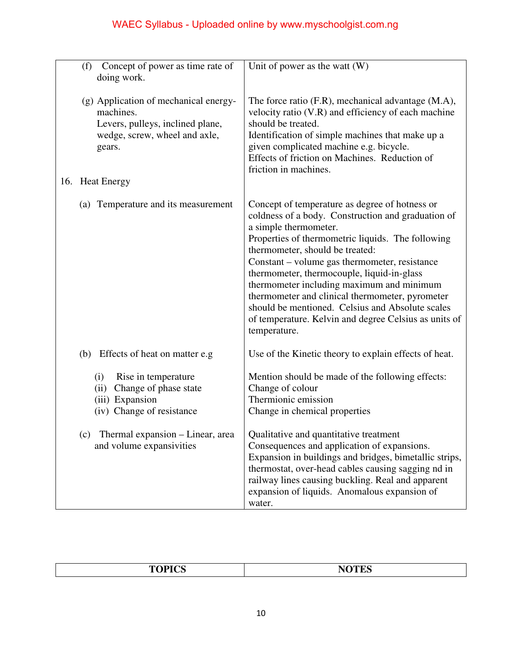| Concept of power as time rate of<br>(f)<br>doing work.                                                                            | Unit of power as the watt $(W)$                                                                                                                                                                                                                                                                                                                                                                                                                                                                                                                   |
|-----------------------------------------------------------------------------------------------------------------------------------|---------------------------------------------------------------------------------------------------------------------------------------------------------------------------------------------------------------------------------------------------------------------------------------------------------------------------------------------------------------------------------------------------------------------------------------------------------------------------------------------------------------------------------------------------|
| (g) Application of mechanical energy-<br>machines.<br>Levers, pulleys, inclined plane,<br>wedge, screw, wheel and axle,<br>gears. | The force ratio (F.R), mechanical advantage (M.A),<br>velocity ratio (V.R) and efficiency of each machine<br>should be treated.<br>Identification of simple machines that make up a<br>given complicated machine e.g. bicycle.<br>Effects of friction on Machines. Reduction of<br>friction in machines.                                                                                                                                                                                                                                          |
| 16. Heat Energy                                                                                                                   |                                                                                                                                                                                                                                                                                                                                                                                                                                                                                                                                                   |
| (a) Temperature and its measurement                                                                                               | Concept of temperature as degree of hotness or<br>coldness of a body. Construction and graduation of<br>a simple thermometer.<br>Properties of thermometric liquids. The following<br>thermometer, should be treated:<br>Constant – volume gas thermometer, resistance<br>thermometer, thermocouple, liquid-in-glass<br>thermometer including maximum and minimum<br>thermometer and clinical thermometer, pyrometer<br>should be mentioned. Celsius and Absolute scales<br>of temperature. Kelvin and degree Celsius as units of<br>temperature. |
| (b) Effects of heat on matter e.g                                                                                                 | Use of the Kinetic theory to explain effects of heat.                                                                                                                                                                                                                                                                                                                                                                                                                                                                                             |
| (i)<br>Rise in temperature<br>(ii)<br>Change of phase state<br>(iii) Expansion<br>(iv) Change of resistance                       | Mention should be made of the following effects:<br>Change of colour<br>Thermionic emission<br>Change in chemical properties                                                                                                                                                                                                                                                                                                                                                                                                                      |
| Thermal expansion - Linear, area<br>(c)<br>and volume expansivities                                                               | Qualitative and quantitative treatment<br>Consequences and application of expansions.<br>Expansion in buildings and bridges, bimetallic strips,<br>thermostat, over-head cables causing sagging nd in<br>railway lines causing buckling. Real and apparent<br>expansion of liquids. Anomalous expansion of<br>water.                                                                                                                                                                                                                              |

| <b>TOPICS</b><br><b>NOTES</b> |
|-------------------------------|
|-------------------------------|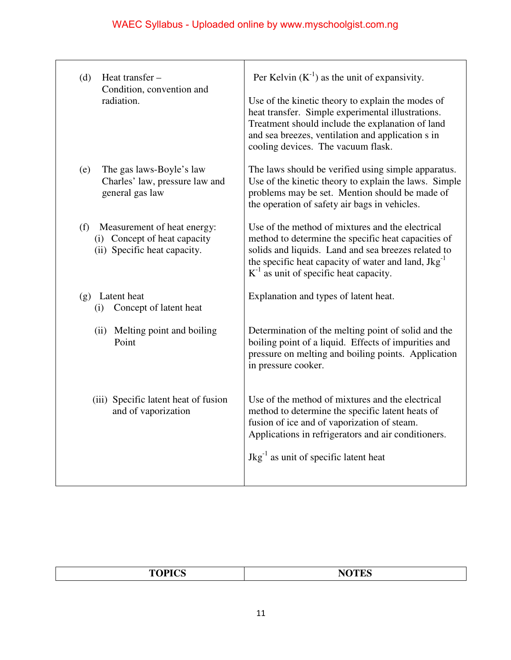| Heat transfer -<br>(d)<br>Condition, convention and<br>radiation.                                  | Per Kelvin $(K^{-1})$ as the unit of expansivity.<br>Use of the kinetic theory to explain the modes of<br>heat transfer. Simple experimental illustrations.<br>Treatment should include the explanation of land<br>and sea breezes, ventilation and application s in<br>cooling devices. The vacuum flask. |
|----------------------------------------------------------------------------------------------------|------------------------------------------------------------------------------------------------------------------------------------------------------------------------------------------------------------------------------------------------------------------------------------------------------------|
| The gas laws-Boyle's law<br>(e)<br>Charles' law, pressure law and<br>general gas law               | The laws should be verified using simple apparatus.<br>Use of the kinetic theory to explain the laws. Simple<br>problems may be set. Mention should be made of<br>the operation of safety air bags in vehicles.                                                                                            |
| (f)<br>Measurement of heat energy:<br>(i) Concept of heat capacity<br>(ii) Specific heat capacity. | Use of the method of mixtures and the electrical<br>method to determine the specific heat capacities of<br>solids and liquids. Land and sea breezes related to<br>the specific heat capacity of water and land, Jkg <sup>-1</sup><br>$K^{-1}$ as unit of specific heat capacity.                           |
| (g) Latent heat<br>Concept of latent heat<br>(i)                                                   | Explanation and types of latent heat.                                                                                                                                                                                                                                                                      |
| (ii) Melting point and boiling<br>Point                                                            | Determination of the melting point of solid and the<br>boiling point of a liquid. Effects of impurities and<br>pressure on melting and boiling points. Application<br>in pressure cooker.                                                                                                                  |
| (iii) Specific latent heat of fusion<br>and of vaporization                                        | Use of the method of mixtures and the electrical<br>method to determine the specific latent heats of<br>fusion of ice and of vaporization of steam.<br>Applications in refrigerators and air conditioners.<br>$Jkg^{-1}$ as unit of specific latent heat                                                   |

| $\frac{1}{2} \left( \frac{1}{2} \right) \left( \frac{1}{2} \right) \left( \frac{1}{2} \right) \left( \frac{1}{2} \right) \left( \frac{1}{2} \right) \left( \frac{1}{2} \right) \left( \frac{1}{2} \right) \left( \frac{1}{2} \right) \left( \frac{1}{2} \right) \left( \frac{1}{2} \right) \left( \frac{1}{2} \right) \left( \frac{1}{2} \right) \left( \frac{1}{2} \right) \left( \frac{1}{2} \right) \left( \frac{1}{2} \right) \left( \frac{1}{2} \right) \left( \frac$<br>. . |  |
|-----------------------------------------------------------------------------------------------------------------------------------------------------------------------------------------------------------------------------------------------------------------------------------------------------------------------------------------------------------------------------------------------------------------------------------------------------------------------------------|--|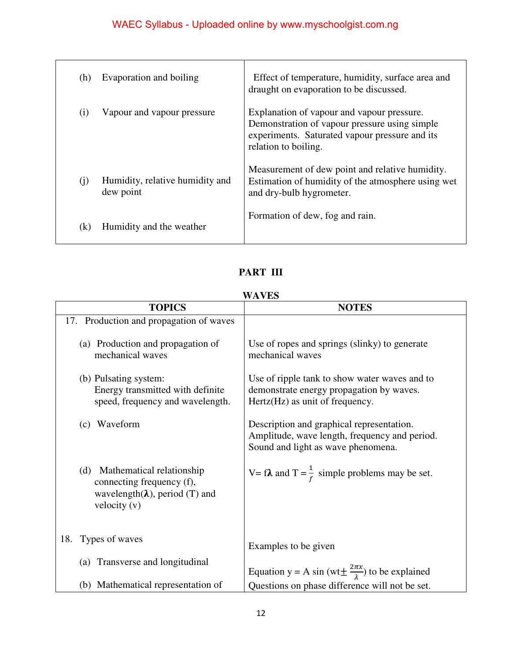| (h) | Evaporation and boiling                      | Effect of temperature, humidity, surface area and<br>draught on evaporation to be discussed.                                                                          |
|-----|----------------------------------------------|-----------------------------------------------------------------------------------------------------------------------------------------------------------------------|
| (i) | Vapour and vapour pressure                   | Explanation of vapour and vapour pressure.<br>Demonstration of vapour pressure using simple<br>experiments. Saturated vapour pressure and its<br>relation to boiling. |
| (i) | Humidity, relative humidity and<br>dew point | Measurement of dew point and relative humidity.<br>Estimation of humidity of the atmosphere using wet<br>and dry-bulb hygrometer.                                     |
| (k) | Humidity and the weather                     | Formation of dew, fog and rain.                                                                                                                                       |

### **PART III**

#### **WAVES**

| <b>TOPICS</b>                                                                                                           | 11 A J LIV<br><b>NOTES</b>                                                                                                       |
|-------------------------------------------------------------------------------------------------------------------------|----------------------------------------------------------------------------------------------------------------------------------|
| 17. Production and propagation of waves                                                                                 |                                                                                                                                  |
| (a) Production and propagation of<br>mechanical waves                                                                   | Use of ropes and springs (slinky) to generate<br>mechanical waves                                                                |
| (b) Pulsating system:<br>Energy transmitted with definite<br>speed, frequency and wavelength.                           | Use of ripple tank to show water waves and to<br>demonstrate energy propagation by waves.<br>Hertz(Hz) as unit of frequency.     |
| Waveform<br>(c)                                                                                                         | Description and graphical representation.<br>Amplitude, wave length, frequency and period.<br>Sound and light as wave phenomena. |
| (d) Mathematical relationship<br>connecting frequency (f),<br>wavelength( $\lambda$ ), period (T) and<br>velocity $(v)$ | V= f <b><math>\lambda</math></b> and T = $\frac{1}{f}$ simple problems may be set.                                               |
| 18.<br>Types of waves                                                                                                   | Examples to be given                                                                                                             |
| (a) Transverse and longitudinal                                                                                         | Equation y = A sin (wt $\pm \frac{2\pi x}{\lambda}$ ) to be explained                                                            |
| (b) Mathematical representation of                                                                                      | Questions on phase difference will not be set.                                                                                   |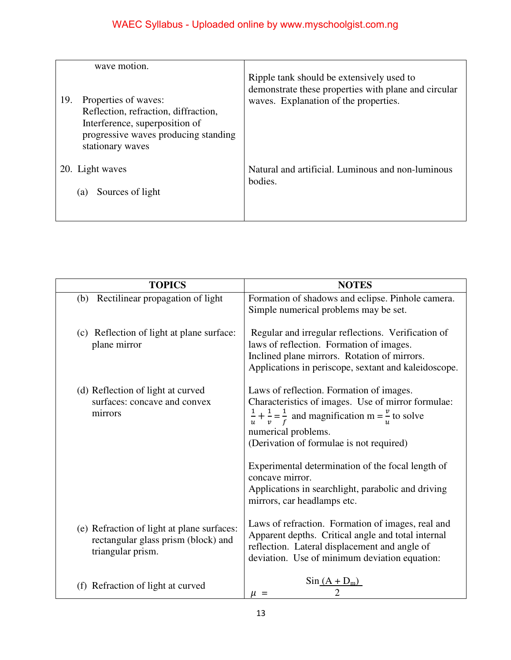| wave motion.                                                                                                                                                      |                                                                                                                                            |
|-------------------------------------------------------------------------------------------------------------------------------------------------------------------|--------------------------------------------------------------------------------------------------------------------------------------------|
| 19.<br>Properties of waves:<br>Reflection, refraction, diffraction,<br>Interference, superposition of<br>progressive waves producing standing<br>stationary waves | Ripple tank should be extensively used to<br>demonstrate these properties with plane and circular<br>waves. Explanation of the properties. |
| 20. Light waves                                                                                                                                                   | Natural and artificial. Luminous and non-luminous                                                                                          |
| Sources of light<br>(a)                                                                                                                                           | bodies.                                                                                                                                    |

| <b>TOPICS</b>                                                                                          | <b>NOTES</b>                                                                                                                                                                                                                                                                                                                                                                                                             |
|--------------------------------------------------------------------------------------------------------|--------------------------------------------------------------------------------------------------------------------------------------------------------------------------------------------------------------------------------------------------------------------------------------------------------------------------------------------------------------------------------------------------------------------------|
| (b) Rectilinear propagation of light                                                                   | Formation of shadows and eclipse. Pinhole camera.<br>Simple numerical problems may be set.                                                                                                                                                                                                                                                                                                                               |
| (c) Reflection of light at plane surface:<br>plane mirror                                              | Regular and irregular reflections. Verification of<br>laws of reflection. Formation of images.<br>Inclined plane mirrors. Rotation of mirrors.<br>Applications in periscope, sextant and kaleidoscope.                                                                                                                                                                                                                   |
| (d) Reflection of light at curved<br>surfaces: concave and convex<br>mirrors                           | Laws of reflection. Formation of images.<br>Characteristics of images. Use of mirror formulae:<br>$\frac{1}{u} + \frac{1}{v} = \frac{1}{f}$ and magnification m = $\frac{v}{v}$ to solve<br>numerical problems.<br>(Derivation of formulae is not required)<br>Experimental determination of the focal length of<br>concave mirror.<br>Applications in searchlight, parabolic and driving<br>mirrors, car headlamps etc. |
| (e) Refraction of light at plane surfaces:<br>rectangular glass prism (block) and<br>triangular prism. | Laws of refraction. Formation of images, real and<br>Apparent depths. Critical angle and total internal<br>reflection. Lateral displacement and angle of<br>deviation. Use of minimum deviation equation:                                                                                                                                                                                                                |
| (f) Refraction of light at curved                                                                      | $\sin(A + D_m)$<br>$\mu =$                                                                                                                                                                                                                                                                                                                                                                                               |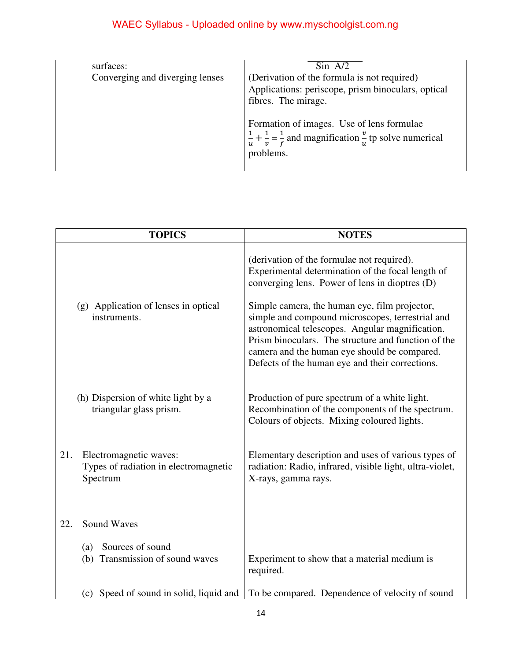| surfaces:                       |                                                                                                                                                                                                                                                                                    |
|---------------------------------|------------------------------------------------------------------------------------------------------------------------------------------------------------------------------------------------------------------------------------------------------------------------------------|
|                                 | $\sin$ A/2                                                                                                                                                                                                                                                                         |
| Converging and diverging lenses | (Derivation of the formula is not required)<br>Applications: periscope, prism binoculars, optical<br>fibres. The mirage.<br>Formation of images. Use of lens formulae<br>$\frac{1}{u} + \frac{1}{v} = \frac{1}{f}$ and magnification $\frac{v}{v}$ tp solve numerical<br>problems. |

|     | <b>TOPICS</b>                                                               | <b>NOTES</b>                                                                                                                                                                                                                                                                                                                                                                                                     |
|-----|-----------------------------------------------------------------------------|------------------------------------------------------------------------------------------------------------------------------------------------------------------------------------------------------------------------------------------------------------------------------------------------------------------------------------------------------------------------------------------------------------------|
|     | (g) Application of lenses in optical<br>instruments.                        | (derivation of the formulae not required).<br>Experimental determination of the focal length of<br>converging lens. Power of lens in dioptres (D)<br>Simple camera, the human eye, film projector,<br>simple and compound microscopes, terrestrial and<br>astronomical telescopes. Angular magnification.<br>Prism binoculars. The structure and function of the<br>camera and the human eye should be compared. |
|     | (h) Dispersion of white light by a<br>triangular glass prism.               | Defects of the human eye and their corrections.<br>Production of pure spectrum of a white light.<br>Recombination of the components of the spectrum.<br>Colours of objects. Mixing coloured lights.                                                                                                                                                                                                              |
| 21. | Electromagnetic waves:<br>Types of radiation in electromagnetic<br>Spectrum | Elementary description and uses of various types of<br>radiation: Radio, infrared, visible light, ultra-violet,<br>X-rays, gamma rays.                                                                                                                                                                                                                                                                           |
| 22. | <b>Sound Waves</b>                                                          |                                                                                                                                                                                                                                                                                                                                                                                                                  |
|     | Sources of sound<br>(a)<br>(b) Transmission of sound waves                  | Experiment to show that a material medium is<br>required.                                                                                                                                                                                                                                                                                                                                                        |
|     | (c) Speed of sound in solid, liquid and                                     | To be compared. Dependence of velocity of sound                                                                                                                                                                                                                                                                                                                                                                  |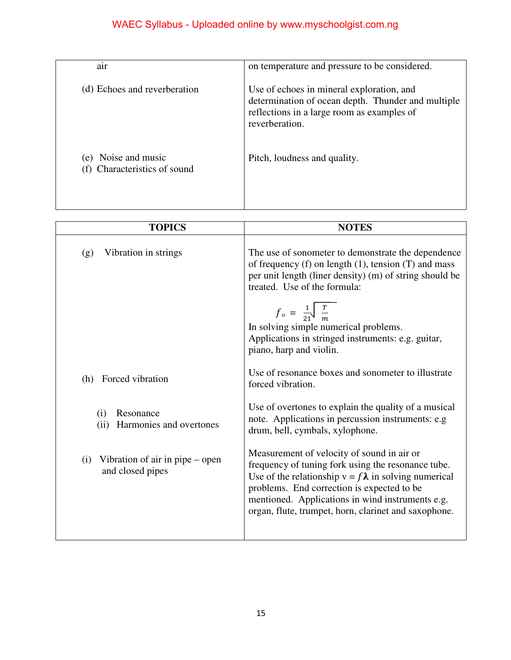| $\bullet$<br>air                                   | on temperature and pressure to be considered.                                                                                                                   |
|----------------------------------------------------|-----------------------------------------------------------------------------------------------------------------------------------------------------------------|
| (d) Echoes and reverberation                       | Use of echoes in mineral exploration, and<br>determination of ocean depth. Thunder and multiple<br>reflections in a large room as examples of<br>reverberation. |
| Noise and music<br>(e)<br>Characteristics of sound | Pitch, loudness and quality.                                                                                                                                    |

| <b>TOPICS</b>                                                    | <b>NOTES</b>                                                                                                                                                                                                                                                                                                               |
|------------------------------------------------------------------|----------------------------------------------------------------------------------------------------------------------------------------------------------------------------------------------------------------------------------------------------------------------------------------------------------------------------|
| Vibration in strings<br>(g)                                      | The use of sonometer to demonstrate the dependence<br>of frequency $(f)$ on length $(1)$ , tension $(T)$ and mass<br>per unit length (liner density) (m) of string should be<br>treated. Use of the formula:                                                                                                               |
|                                                                  | $f_{o} = \frac{1}{21} \frac{T}{m}$<br>In solving simple numerical problems.<br>Applications in stringed instruments: e.g. guitar,<br>piano, harp and violin.                                                                                                                                                               |
| Forced vibration<br>(h)                                          | Use of resonance boxes and sonometer to illustrate<br>forced vibration.                                                                                                                                                                                                                                                    |
| Resonance<br>(i)<br>Harmonies and overtones<br>(ii)              | Use of overtones to explain the quality of a musical<br>note. Applications in percussion instruments: e.g.<br>drum, bell, cymbals, xylophone.                                                                                                                                                                              |
| Vibration of air in pipe $-\rho$ open<br>(i)<br>and closed pipes | Measurement of velocity of sound in air or<br>frequency of tuning fork using the resonance tube.<br>Use of the relationship $v = f \lambda$ in solving numerical<br>problems. End correction is expected to be<br>mentioned. Applications in wind instruments e.g.<br>organ, flute, trumpet, horn, clarinet and saxophone. |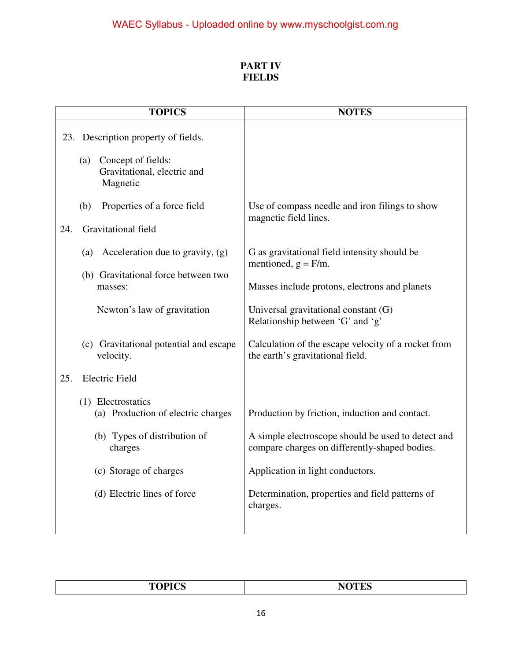#### **PART IV FIELDS**

|     | <b>TOPICS</b>                                                        | <b>NOTES</b>                                                                                        |
|-----|----------------------------------------------------------------------|-----------------------------------------------------------------------------------------------------|
|     | 23. Description property of fields.                                  |                                                                                                     |
|     | Concept of fields:<br>(a)<br>Gravitational, electric and<br>Magnetic |                                                                                                     |
|     | (b)<br>Properties of a force field                                   | Use of compass needle and iron filings to show<br>magnetic field lines.                             |
| 24. | Gravitational field                                                  |                                                                                                     |
|     | Acceleration due to gravity, (g)<br>(a)                              | G as gravitational field intensity should be<br>mentioned, $g = F/m$ .                              |
|     | (b) Gravitational force between two<br>masses:                       | Masses include protons, electrons and planets                                                       |
|     | Newton's law of gravitation                                          | Universal gravitational constant (G)<br>Relationship between 'G' and 'g'                            |
|     | (c) Gravitational potential and escape<br>velocity.                  | Calculation of the escape velocity of a rocket from<br>the earth's gravitational field.             |
| 25. | <b>Electric Field</b>                                                |                                                                                                     |
|     | (1) Electrostatics<br>(a) Production of electric charges             | Production by friction, induction and contact.                                                      |
|     | (b) Types of distribution of<br>charges                              | A simple electroscope should be used to detect and<br>compare charges on differently-shaped bodies. |
|     | (c) Storage of charges                                               | Application in light conductors.                                                                    |
|     | (d) Electric lines of force                                          | Determination, properties and field patterns of<br>charges.                                         |
|     |                                                                      |                                                                                                     |

| ---- |
|------|
|      |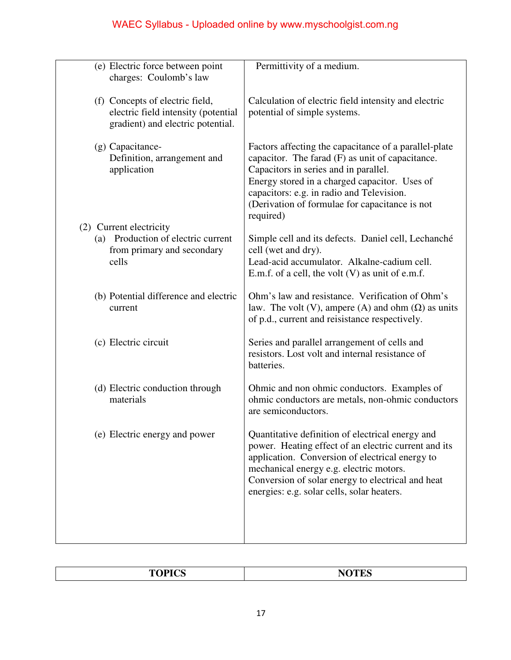| (e) Electric force between point<br>charges: Coulomb's law                                                  | Permittivity of a medium.                                                                                                                                                                                                                                                                                         |
|-------------------------------------------------------------------------------------------------------------|-------------------------------------------------------------------------------------------------------------------------------------------------------------------------------------------------------------------------------------------------------------------------------------------------------------------|
| (f) Concepts of electric field,<br>electric field intensity (potential<br>gradient) and electric potential. | Calculation of electric field intensity and electric<br>potential of simple systems.                                                                                                                                                                                                                              |
| (g) Capacitance-<br>Definition, arrangement and<br>application                                              | Factors affecting the capacitance of a parallel-plate<br>capacitor. The farad $(F)$ as unit of capacitance.<br>Capacitors in series and in parallel.<br>Energy stored in a charged capacitor. Uses of<br>capacitors: e.g. in radio and Television.<br>(Derivation of formulae for capacitance is not<br>required) |
| (2) Current electricity                                                                                     |                                                                                                                                                                                                                                                                                                                   |
| (a) Production of electric current                                                                          | Simple cell and its defects. Daniel cell, Lechanché                                                                                                                                                                                                                                                               |
| from primary and secondary<br>cells                                                                         | cell (wet and dry).<br>Lead-acid accumulator. Alkalne-cadium cell.                                                                                                                                                                                                                                                |
|                                                                                                             | E.m.f. of a cell, the volt $(V)$ as unit of e.m.f.                                                                                                                                                                                                                                                                |
| (b) Potential difference and electric<br>current                                                            | Ohm's law and resistance. Verification of Ohm's<br>law. The volt (V), ampere (A) and ohm $(\Omega)$ as units<br>of p.d., current and reisistance respectively.                                                                                                                                                    |
| (c) Electric circuit                                                                                        | Series and parallel arrangement of cells and<br>resistors. Lost volt and internal resistance of<br>batteries.                                                                                                                                                                                                     |
| (d) Electric conduction through<br>materials                                                                | Ohmic and non ohmic conductors. Examples of<br>ohmic conductors are metals, non-ohmic conductors<br>are semiconductors.                                                                                                                                                                                           |
| (e) Electric energy and power                                                                               | Quantitative definition of electrical energy and<br>power. Heating effect of an electric current and its<br>application. Conversion of electrical energy to<br>mechanical energy e.g. electric motors.<br>Conversion of solar energy to electrical and heat<br>energies: e.g. solar cells, solar heaters.         |
|                                                                                                             |                                                                                                                                                                                                                                                                                                                   |

|--|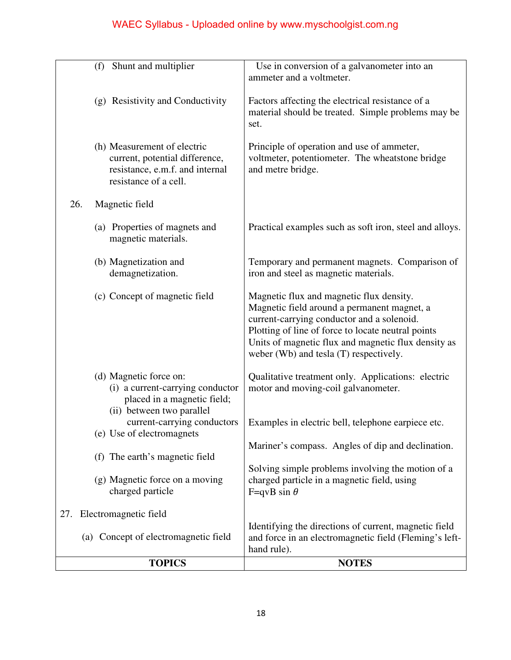| <b>TOPICS</b>                                                                                                             | <b>NOTES</b>                                                                                                                                                                                                                                                                                 |
|---------------------------------------------------------------------------------------------------------------------------|----------------------------------------------------------------------------------------------------------------------------------------------------------------------------------------------------------------------------------------------------------------------------------------------|
| (a) Concept of electromagnetic field                                                                                      | Identifying the directions of current, magnetic field<br>and force in an electromagnetic field (Fleming's left-<br>hand rule).                                                                                                                                                               |
| Electromagnetic field<br>27.                                                                                              |                                                                                                                                                                                                                                                                                              |
| (g) Magnetic force on a moving<br>charged particle                                                                        | Solving simple problems involving the motion of a<br>charged particle in a magnetic field, using<br>F=qvB sin $\theta$                                                                                                                                                                       |
| (f) The earth's magnetic field                                                                                            | Mariner's compass. Angles of dip and declination.                                                                                                                                                                                                                                            |
| (ii) between two parallel<br>current-carrying conductors<br>(e) Use of electromagnets                                     | Examples in electric bell, telephone earpiece etc.                                                                                                                                                                                                                                           |
| (d) Magnetic force on:<br>(i) a current-carrying conductor<br>placed in a magnetic field;                                 | Qualitative treatment only. Applications: electric<br>motor and moving-coil galvanometer.                                                                                                                                                                                                    |
| (c) Concept of magnetic field                                                                                             | Magnetic flux and magnetic flux density.<br>Magnetic field around a permanent magnet, a<br>current-carrying conductor and a solenoid.<br>Plotting of line of force to locate neutral points<br>Units of magnetic flux and magnetic flux density as<br>weber (Wb) and tesla (T) respectively. |
| (b) Magnetization and<br>demagnetization.                                                                                 | Temporary and permanent magnets. Comparison of<br>iron and steel as magnetic materials.                                                                                                                                                                                                      |
| (a) Properties of magnets and<br>magnetic materials.                                                                      | Practical examples such as soft iron, steel and alloys.                                                                                                                                                                                                                                      |
| 26.<br>Magnetic field                                                                                                     |                                                                                                                                                                                                                                                                                              |
| (h) Measurement of electric<br>current, potential difference,<br>resistance, e.m.f. and internal<br>resistance of a cell. | Principle of operation and use of ammeter,<br>voltmeter, potentiometer. The wheatstone bridge<br>and metre bridge.                                                                                                                                                                           |
| (g) Resistivity and Conductivity                                                                                          | Factors affecting the electrical resistance of a<br>material should be treated. Simple problems may be<br>set.                                                                                                                                                                               |
| Shunt and multiplier<br>(f)                                                                                               | Use in conversion of a galvanometer into an<br>ammeter and a voltmeter.                                                                                                                                                                                                                      |
|                                                                                                                           |                                                                                                                                                                                                                                                                                              |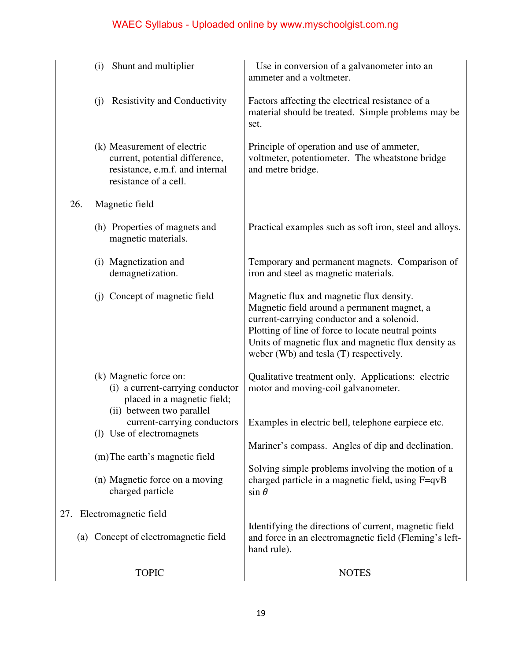| Shunt and multiplier<br>(i)                                                                                               | Use in conversion of a galvanometer into an<br>ammeter and a voltmeter.                                                                                                                                                                                                                      |
|---------------------------------------------------------------------------------------------------------------------------|----------------------------------------------------------------------------------------------------------------------------------------------------------------------------------------------------------------------------------------------------------------------------------------------|
| <b>Resistivity and Conductivity</b><br>(i)                                                                                | Factors affecting the electrical resistance of a<br>material should be treated. Simple problems may be<br>set.                                                                                                                                                                               |
| (k) Measurement of electric<br>current, potential difference,<br>resistance, e.m.f. and internal<br>resistance of a cell. | Principle of operation and use of ammeter,<br>voltmeter, potentiometer. The wheatstone bridge<br>and metre bridge.                                                                                                                                                                           |
| 26.<br>Magnetic field                                                                                                     |                                                                                                                                                                                                                                                                                              |
| (h) Properties of magnets and<br>magnetic materials.                                                                      | Practical examples such as soft iron, steel and alloys.                                                                                                                                                                                                                                      |
| (i) Magnetization and<br>demagnetization.                                                                                 | Temporary and permanent magnets. Comparison of<br>iron and steel as magnetic materials.                                                                                                                                                                                                      |
| (j) Concept of magnetic field                                                                                             | Magnetic flux and magnetic flux density.<br>Magnetic field around a permanent magnet, a<br>current-carrying conductor and a solenoid.<br>Plotting of line of force to locate neutral points<br>Units of magnetic flux and magnetic flux density as<br>weber (Wb) and tesla (T) respectively. |
| (k) Magnetic force on:<br>(i) a current-carrying conductor<br>placed in a magnetic field;<br>(ii) between two parallel    | Qualitative treatment only. Applications: electric<br>motor and moving-coil galvanometer.                                                                                                                                                                                                    |
| current-carrying conductors<br>(1) Use of electromagnets                                                                  | Examples in electric bell, telephone earpiece etc.                                                                                                                                                                                                                                           |
| (m) The earth's magnetic field                                                                                            | Mariner's compass. Angles of dip and declination.                                                                                                                                                                                                                                            |
| (n) Magnetic force on a moving<br>charged particle                                                                        | Solving simple problems involving the motion of a<br>charged particle in a magnetic field, using F=qvB<br>$\sin \theta$                                                                                                                                                                      |
| Electromagnetic field<br>27.                                                                                              |                                                                                                                                                                                                                                                                                              |
| (a) Concept of electromagnetic field                                                                                      | Identifying the directions of current, magnetic field<br>and force in an electromagnetic field (Fleming's left-<br>hand rule).                                                                                                                                                               |
| <b>TOPIC</b>                                                                                                              | <b>NOTES</b>                                                                                                                                                                                                                                                                                 |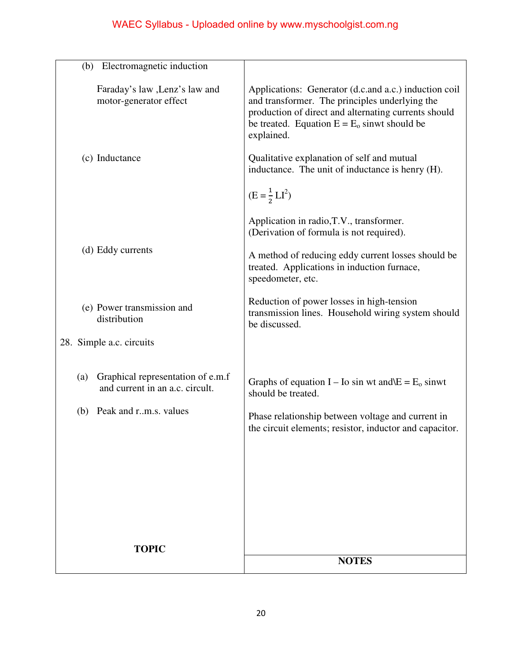|                                                          | <b>NOTES</b>                                                                                                           |
|----------------------------------------------------------|------------------------------------------------------------------------------------------------------------------------|
| <b>TOPIC</b>                                             |                                                                                                                        |
|                                                          |                                                                                                                        |
|                                                          |                                                                                                                        |
|                                                          |                                                                                                                        |
|                                                          |                                                                                                                        |
| Peak and r.m.s. values<br>(b)                            | Phase relationship between voltage and current in<br>the circuit elements; resistor, inductor and capacitor.           |
| and current in an a.c. circult.                          | should be treated.                                                                                                     |
| Graphical representation of e.m.f<br>(a)                 | Graphs of equation I – Io sin wt and $E = E_0$ sinwt                                                                   |
| 28. Simple a.c. circuits                                 |                                                                                                                        |
| (e) Power transmission and<br>distribution               | Reduction of power losses in high-tension<br>transmission lines. Household wiring system should<br>be discussed.       |
| (d) Eddy currents                                        | A method of reducing eddy current losses should be<br>treated. Applications in induction furnace,<br>speedometer, etc. |
|                                                          | Application in radio, T.V., transformer.<br>(Derivation of formula is not required).                                   |
|                                                          | $(E = \frac{1}{2}LI^2)$                                                                                                |
| (c) Inductance                                           | Qualitative explanation of self and mutual<br>inductance. The unit of inductance is henry (H).                         |
|                                                          | production of direct and alternating currents should<br>be treated. Equation $E = E_0$ sinwt should be<br>explained.   |
| Faraday's law , Lenz's law and<br>motor-generator effect | Applications: Generator (d.c.and a.c.) induction coil<br>and transformer. The principles underlying the                |
| Electromagnetic induction<br>(b)                         |                                                                                                                        |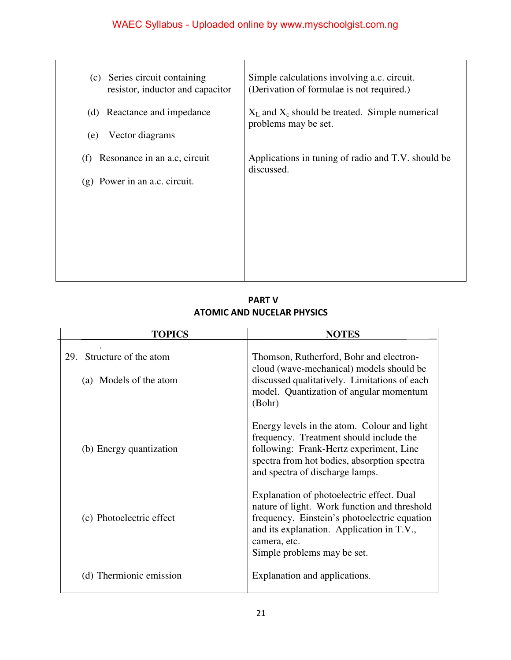| Series circuit containing<br>(c)<br>resistor, inductor and capacitor | Simple calculations involving a.c. circuit.<br>(Derivation of formulae is not required.) |
|----------------------------------------------------------------------|------------------------------------------------------------------------------------------|
| (d) Reactance and impedance                                          | $X_L$ and $X_c$ should be treated. Simple numerical<br>problems may be set.              |
| Vector diagrams<br>(e)                                               |                                                                                          |
| Resonance in an a.c. circuit<br>(f)                                  | Applications in tuning of radio and T.V. should be<br>discussed.                         |
| Power in an a.c. circuit.<br>(g)                                     |                                                                                          |
|                                                                      |                                                                                          |
|                                                                      |                                                                                          |
|                                                                      |                                                                                          |
|                                                                      |                                                                                          |

 **PART V ATOMIC AND NUCELAR PHYSICS** 

| <b>TOPICS</b>                                          | <b>NOTES</b>                                                                                                                                                                                                                          |
|--------------------------------------------------------|---------------------------------------------------------------------------------------------------------------------------------------------------------------------------------------------------------------------------------------|
| Structure of the atom<br>29.<br>(a) Models of the atom | Thomson, Rutherford, Bohr and electron-<br>cloud (wave-mechanical) models should be<br>discussed qualitatively. Limitations of each<br>model. Quantization of angular momentum<br>(Bohr)                                              |
| (b) Energy quantization                                | Energy levels in the atom. Colour and light<br>frequency. Treatment should include the<br>following: Frank-Hertz experiment, Line<br>spectra from hot bodies, absorption spectra<br>and spectra of discharge lamps.                   |
| (c) Photoelectric effect                               | Explanation of photoelectric effect. Dual<br>nature of light. Work function and threshold<br>frequency. Einstein's photoelectric equation<br>and its explanation. Application in T.V.,<br>camera, etc.<br>Simple problems may be set. |
| (d) Thermionic emission                                | Explanation and applications.                                                                                                                                                                                                         |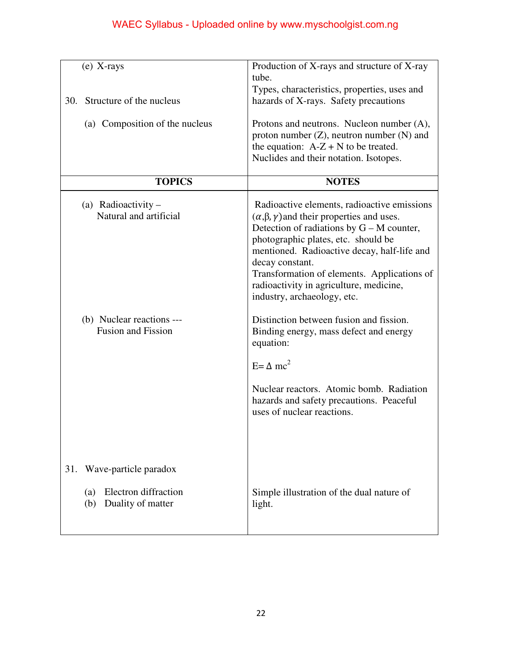| $(e)$ X-rays                                                                            | Production of X-rays and structure of X-ray<br>tube.                                                                                                                                                                                                                                                                                                                                     |
|-----------------------------------------------------------------------------------------|------------------------------------------------------------------------------------------------------------------------------------------------------------------------------------------------------------------------------------------------------------------------------------------------------------------------------------------------------------------------------------------|
| Structure of the nucleus<br>30.                                                         | Types, characteristics, properties, uses and<br>hazards of X-rays. Safety precautions                                                                                                                                                                                                                                                                                                    |
| (a) Composition of the nucleus                                                          | Protons and neutrons. Nucleon number (A),<br>proton number $(Z)$ , neutron number $(N)$ and<br>the equation: $A-Z + N$ to be treated.<br>Nuclides and their notation. Isotopes.                                                                                                                                                                                                          |
| <b>TOPICS</b>                                                                           | <b>NOTES</b>                                                                                                                                                                                                                                                                                                                                                                             |
| (a) Radioactivity $-$<br>Natural and artificial                                         | Radioactive elements, radioactive emissions<br>$(\alpha, \beta, \gamma)$ and their properties and uses.<br>Detection of radiations by $G - M$ counter,<br>photographic plates, etc. should be<br>mentioned. Radioactive decay, half-life and<br>decay constant.<br>Transformation of elements. Applications of<br>radioactivity in agriculture, medicine,<br>industry, archaeology, etc. |
| (b) Nuclear reactions ---<br><b>Fusion and Fission</b>                                  | Distinction between fusion and fission.<br>Binding energy, mass defect and energy<br>equation:<br>$E = \Delta mc^2$<br>Nuclear reactors. Atomic bomb. Radiation<br>hazards and safety precautions. Peaceful<br>uses of nuclear reactions.                                                                                                                                                |
| Wave-particle paradox<br>31.<br>Electron diffraction<br>(a)<br>Duality of matter<br>(b) | Simple illustration of the dual nature of<br>light.                                                                                                                                                                                                                                                                                                                                      |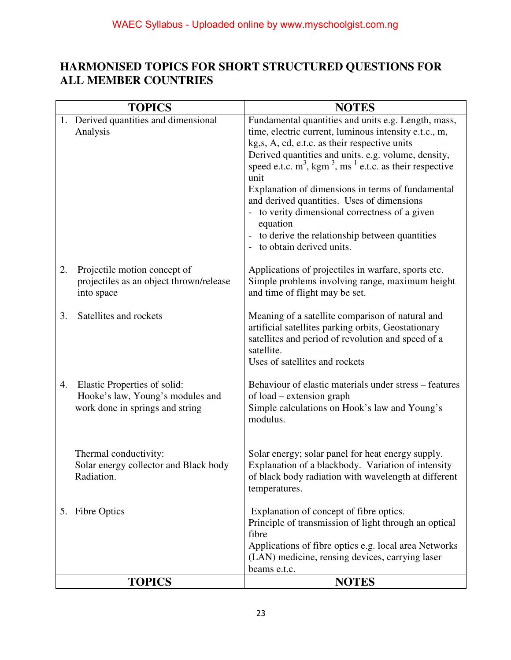### **HARMONISED TOPICS FOR SHORT STRUCTURED QUESTIONS FOR ALL MEMBER COUNTRIES**

|    | <b>TOPICS</b>                                                                                       | <b>NOTES</b>                                                                                                                                                                                                                                                                                                                                                                                                                                                                                                                                                                          |
|----|-----------------------------------------------------------------------------------------------------|---------------------------------------------------------------------------------------------------------------------------------------------------------------------------------------------------------------------------------------------------------------------------------------------------------------------------------------------------------------------------------------------------------------------------------------------------------------------------------------------------------------------------------------------------------------------------------------|
|    | 1. Derived quantities and dimensional<br>Analysis                                                   | Fundamental quantities and units e.g. Length, mass,<br>time, electric current, luminous intensity e.t.c., m,<br>kg, s, A, cd, e.t.c. as their respective units<br>Derived quantities and units. e.g. volume, density,<br>speed e.t.c. $m^3$ , kgm <sup>-3</sup> , ms <sup>-1</sup> e.t.c. as their respective<br>unit<br>Explanation of dimensions in terms of fundamental<br>and derived quantities. Uses of dimensions<br>- to verity dimensional correctness of a given<br>equation<br>to derive the relationship between quantities<br>to obtain derived units.<br>$\overline{a}$ |
| 2. | Projectile motion concept of<br>projectiles as an object thrown/release<br>into space               | Applications of projectiles in warfare, sports etc.<br>Simple problems involving range, maximum height<br>and time of flight may be set.                                                                                                                                                                                                                                                                                                                                                                                                                                              |
| 3. | Satellites and rockets                                                                              | Meaning of a satellite comparison of natural and<br>artificial satellites parking orbits, Geostationary<br>satellites and period of revolution and speed of a<br>satellite.<br>Uses of satellites and rockets                                                                                                                                                                                                                                                                                                                                                                         |
| 4. | Elastic Properties of solid:<br>Hooke's law, Young's modules and<br>work done in springs and string | Behaviour of elastic materials under stress – features<br>of load – extension graph<br>Simple calculations on Hook's law and Young's<br>modulus.                                                                                                                                                                                                                                                                                                                                                                                                                                      |
|    | Thermal conductivity:<br>Solar energy collector and Black body<br>Radiation.                        | Solar energy; solar panel for heat energy supply.<br>Explanation of a blackbody. Variation of intensity<br>of black body radiation with wavelength at different<br>temperatures.                                                                                                                                                                                                                                                                                                                                                                                                      |
| 5. | <b>Fibre Optics</b>                                                                                 | Explanation of concept of fibre optics.<br>Principle of transmission of light through an optical<br>fibre<br>Applications of fibre optics e.g. local area Networks<br>(LAN) medicine, rensing devices, carrying laser<br>beams e.t.c.                                                                                                                                                                                                                                                                                                                                                 |
|    | <b>TOPICS</b>                                                                                       | <b>NOTES</b>                                                                                                                                                                                                                                                                                                                                                                                                                                                                                                                                                                          |